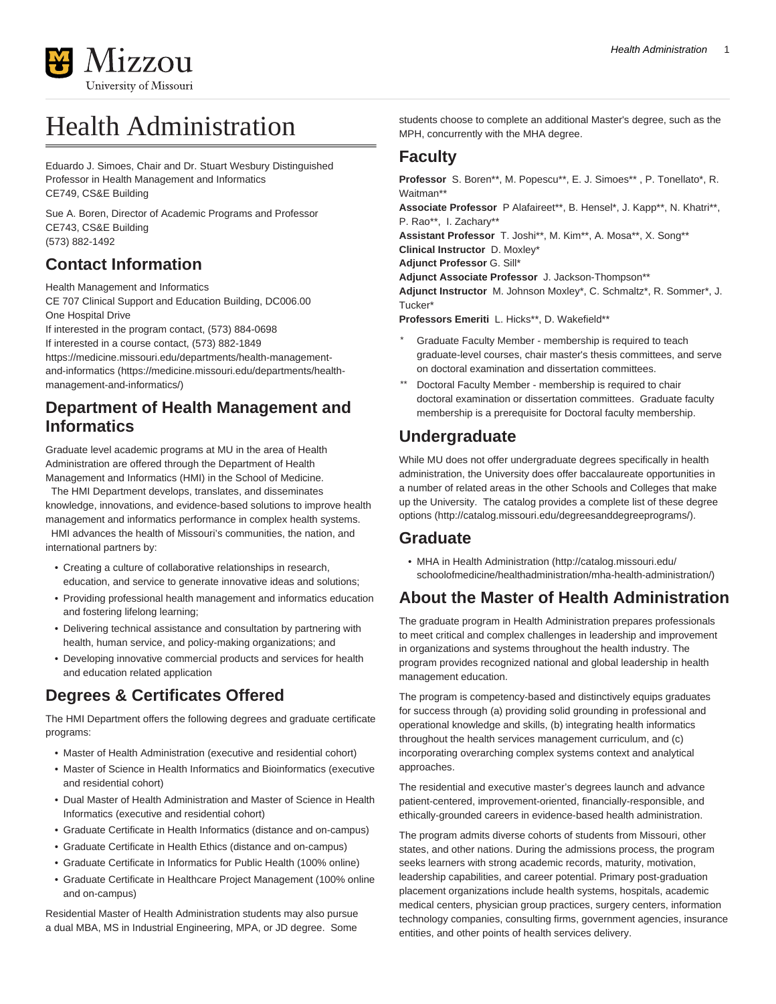

# Health Administration

Eduardo J. Simoes, Chair and Dr. Stuart Wesbury Distinguished Professor in Health Management and Informatics CE749, CS&E Building

Sue A. Boren, Director of Academic Programs and Professor CE743, CS&E Building (573) 882-1492

### **Contact Information**

Health Management and Informatics CE 707 Clinical Support and Education Building, DC006.00 One Hospital Drive

If interested in the program contact, (573) 884-0698

If interested in a course contact, (573) 882-1849

[https://medicine.missouri.edu/departments/health-management](https://medicine.missouri.edu/departments/health-management-and-informatics/)[and-informatics](https://medicine.missouri.edu/departments/health-management-and-informatics/) ([https://medicine.missouri.edu/departments/health](https://medicine.missouri.edu/departments/health-management-and-informatics/)[management-and-informatics/](https://medicine.missouri.edu/departments/health-management-and-informatics/))

#### **Department of Health Management and Informatics**

Graduate level academic programs at MU in the area of Health Administration are offered through the Department of Health Management and Informatics (HMI) in the School of Medicine.

 The HMI Department develops, translates, and disseminates knowledge, innovations, and evidence-based solutions to improve health management and informatics performance in complex health systems. HMI advances the health of Missouri's communities, the nation, and international partners by:

- Creating a culture of collaborative relationships in research, education, and service to generate innovative ideas and solutions;
- Providing professional health management and informatics education and fostering lifelong learning;
- Delivering technical assistance and consultation by partnering with health, human service, and policy-making organizations; and
- Developing innovative commercial products and services for health and education related application

## **Degrees & Certificates Offered**

The HMI Department offers the following degrees and graduate certificate programs:

- Master of Health Administration (executive and residential cohort)
- Master of Science in Health Informatics and Bioinformatics (executive and residential cohort)
- Dual Master of Health Administration and Master of Science in Health Informatics (executive and residential cohort)
- Graduate Certificate in Health Informatics (distance and on-campus)
- Graduate Certificate in Health Ethics (distance and on-campus)
- Graduate Certificate in Informatics for Public Health (100% online)
- Graduate Certificate in Healthcare Project Management (100% online and on-campus)

Residential Master of Health Administration students may also pursue a dual MBA, MS in Industrial Engineering, MPA, or JD degree. Some

students choose to complete an additional Master's degree, such as the MPH, concurrently with the MHA degree.

#### **Faculty**

**Professor** S. Boren\*\*, M. Popescu\*\*, E. J. Simoes\*\* , P. Tonellato\*, R. Waitman\*\*

**Associate Professor** P Alafaireet\*\*, B. Hensel\*, J. Kapp\*\*, N. Khatri\*\*, P. Rao\*\*, I. Zachary\*\*

**Assistant Professor** T. Joshi\*\*, M. Kim\*\*, A. Mosa\*\*, X. Song\*\*

**Clinical Instructor** D. Moxley\*

**Adjunct Professor** G. Sill\*

**Adjunct Associate Professor** J. Jackson-Thompson\*\*

**Adjunct Instructor** M. Johnson Moxley\*, C. Schmaltz\*, R. Sommer\*, J. Tucker\*

**Professors Emeriti** L. Hicks\*\*, D. Wakefield\*\*

- Graduate Faculty Member membership is required to teach graduate-level courses, chair master's thesis committees, and serve on doctoral examination and dissertation committees.
- Doctoral Faculty Member membership is required to chair doctoral examination or dissertation committees. Graduate faculty membership is a prerequisite for Doctoral faculty membership.

### **Undergraduate**

While MU does not offer undergraduate degrees specifically in health administration, the University does offer baccalaureate opportunities in a number of related areas in the other Schools and Colleges that make up the University. The catalog provides a [complete list of these degree](http://catalog.missouri.edu/degreesanddegreeprograms/) [options](http://catalog.missouri.edu/degreesanddegreeprograms/) (<http://catalog.missouri.edu/degreesanddegreeprograms/>).

#### **Graduate**

• [MHA in Health Administration](http://catalog.missouri.edu/schoolofmedicine/healthadministration/mha-health-administration/) [\(http://catalog.missouri.edu/](http://catalog.missouri.edu/schoolofmedicine/healthadministration/mha-health-administration/) [schoolofmedicine/healthadministration/mha-health-administration/\)](http://catalog.missouri.edu/schoolofmedicine/healthadministration/mha-health-administration/)

### **About the Master of Health Administration**

The graduate program in Health Administration prepares professionals to meet critical and complex challenges in leadership and improvement in organizations and systems throughout the health industry. The program provides recognized national and global leadership in health management education.

The program is competency-based and distinctively equips graduates for success through (a) providing solid grounding in professional and operational knowledge and skills, (b) integrating health informatics throughout the health services management curriculum, and (c) incorporating overarching complex systems context and analytical approaches.

The residential and executive master's degrees launch and advance patient-centered, improvement-oriented, financially-responsible, and ethically-grounded careers in evidence-based health administration.

The program admits diverse cohorts of students from Missouri, other states, and other nations. During the admissions process, the program seeks learners with strong academic records, maturity, motivation, leadership capabilities, and career potential. Primary post-graduation placement organizations include health systems, hospitals, academic medical centers, physician group practices, surgery centers, information technology companies, consulting firms, government agencies, insurance entities, and other points of health services delivery.